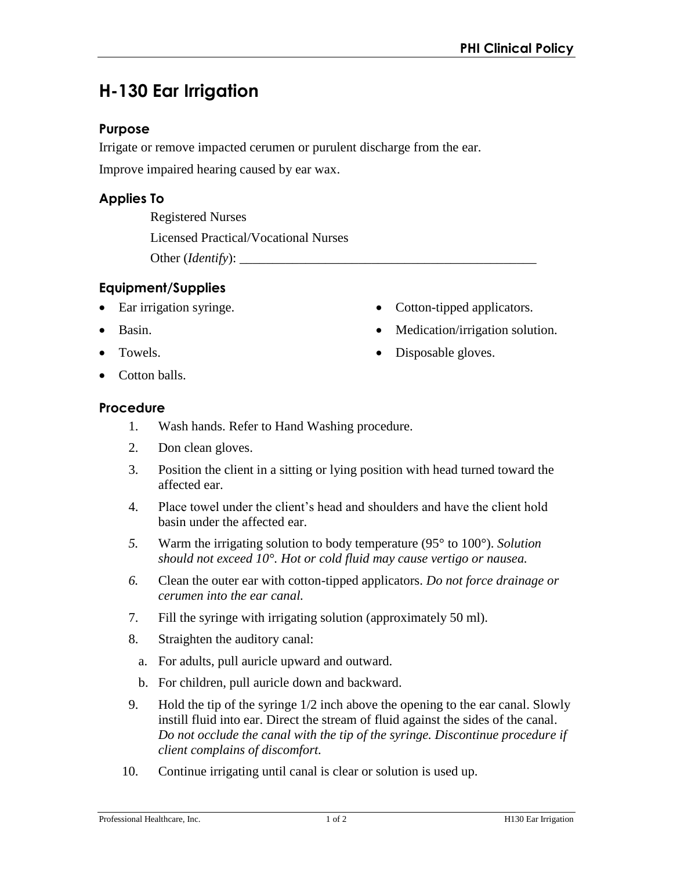# **H-130 Ear Irrigation**

#### **Purpose**

Irrigate or remove impacted cerumen or purulent discharge from the ear.

Improve impaired hearing caused by ear wax.

## **Applies To**

Registered Nurses Licensed Practical/Vocational Nurses Other (*Identify*): \_\_\_\_\_\_\_\_\_\_\_\_\_\_\_\_\_\_\_\_\_\_\_\_\_\_\_\_\_\_\_\_\_\_\_\_\_\_\_\_\_\_\_\_\_

## **Equipment/Supplies**

- Ear irrigation syringe.
- Basin.
- Towels.
- Cotton-tipped applicators.
- Medication/irrigation solution.
- Disposable gloves.

Cotton balls.

#### **Procedure**

- 1. Wash hands. Refer to Hand Washing procedure.
- 2. Don clean gloves.
- 3. Position the client in a sitting or lying position with head turned toward the affected ear.
- 4. Place towel under the client's head and shoulders and have the client hold basin under the affected ear.
- *5.* Warm the irrigating solution to body temperature (95° to 100°). *Solution should not exceed 10°. Hot or cold fluid may cause vertigo or nausea.*
- *6.* Clean the outer ear with cotton-tipped applicators. *Do not force drainage or cerumen into the ear canal.*
- 7. Fill the syringe with irrigating solution (approximately 50 ml).
- 8. Straighten the auditory canal:
	- a. For adults, pull auricle upward and outward.
	- b. For children, pull auricle down and backward.
- 9. Hold the tip of the syringe 1/2 inch above the opening to the ear canal. Slowly instill fluid into ear. Direct the stream of fluid against the sides of the canal. *Do not occlude the canal with the tip of the syringe. Discontinue procedure if client complains of discomfort.*
- 10. Continue irrigating until canal is clear or solution is used up.